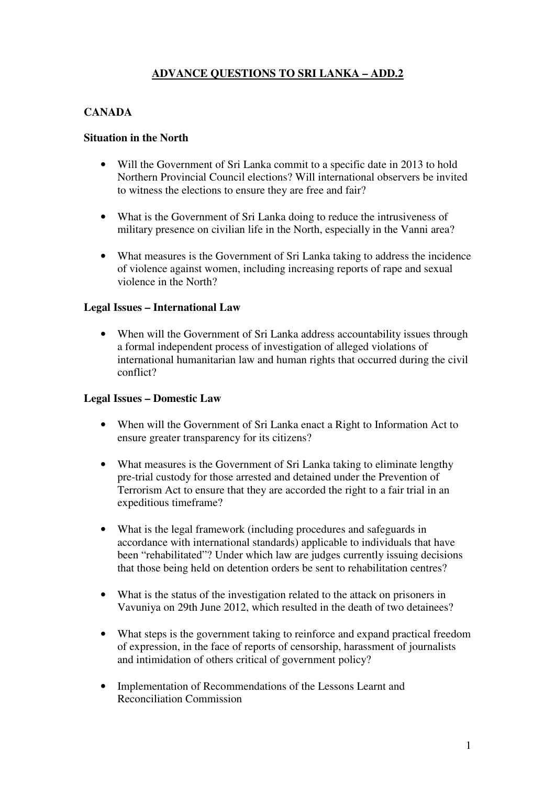# **ADVANCE QUESTIONS TO SRI LANKA – ADD.2**

# **CANADA**

#### **Situation in the North**

- Will the Government of Sri Lanka commit to a specific date in 2013 to hold Northern Provincial Council elections? Will international observers be invited to witness the elections to ensure they are free and fair?
- What is the Government of Sri Lanka doing to reduce the intrusiveness of military presence on civilian life in the North, especially in the Vanni area?
- What measures is the Government of Sri Lanka taking to address the incidence of violence against women, including increasing reports of rape and sexual violence in the North?

#### **Legal Issues – International Law**

When will the Government of Sri Lanka address accountability issues through a formal independent process of investigation of alleged violations of international humanitarian law and human rights that occurred during the civil conflict?

#### **Legal Issues – Domestic Law**

- When will the Government of Sri Lanka enact a Right to Information Act to ensure greater transparency for its citizens?
- What measures is the Government of Sri Lanka taking to eliminate lengthy pre-trial custody for those arrested and detained under the Prevention of Terrorism Act to ensure that they are accorded the right to a fair trial in an expeditious timeframe?
- What is the legal framework (including procedures and safeguards in accordance with international standards) applicable to individuals that have been "rehabilitated"? Under which law are judges currently issuing decisions that those being held on detention orders be sent to rehabilitation centres?
- What is the status of the investigation related to the attack on prisoners in Vavuniya on 29th June 2012, which resulted in the death of two detainees?
- What steps is the government taking to reinforce and expand practical freedom of expression, in the face of reports of censorship, harassment of journalists and intimidation of others critical of government policy?
- Implementation of Recommendations of the Lessons Learnt and Reconciliation Commission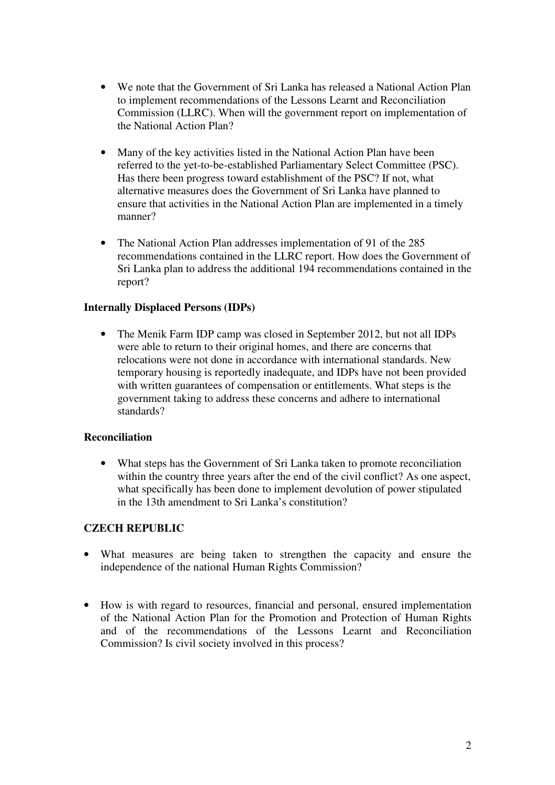- We note that the Government of Sri Lanka has released a National Action Plan to implement recommendations of the Lessons Learnt and Reconciliation Commission (LLRC). When will the government report on implementation of the National Action Plan?
- Many of the key activities listed in the National Action Plan have been referred to the yet-to-be-established Parliamentary Select Committee (PSC). Has there been progress toward establishment of the PSC? If not, what alternative measures does the Government of Sri Lanka have planned to ensure that activities in the National Action Plan are implemented in a timely manner?
- The National Action Plan addresses implementation of 91 of the 285 recommendations contained in the LLRC report. How does the Government of Sri Lanka plan to address the additional 194 recommendations contained in the report?

### **Internally Displaced Persons (IDPs)**

• The Menik Farm IDP camp was closed in September 2012, but not all IDPs were able to return to their original homes, and there are concerns that relocations were not done in accordance with international standards. New temporary housing is reportedly inadequate, and IDPs have not been provided with written guarantees of compensation or entitlements. What steps is the government taking to address these concerns and adhere to international standards?

### **Reconciliation**

• What steps has the Government of Sri Lanka taken to promote reconciliation within the country three years after the end of the civil conflict? As one aspect, what specifically has been done to implement devolution of power stipulated in the 13th amendment to Sri Lanka's constitution?

## **CZECH REPUBLIC**

- What measures are being taken to strengthen the capacity and ensure the independence of the national Human Rights Commission?
- How is with regard to resources, financial and personal, ensured implementation of the National Action Plan for the Promotion and Protection of Human Rights and of the recommendations of the Lessons Learnt and Reconciliation Commission? Is civil society involved in this process?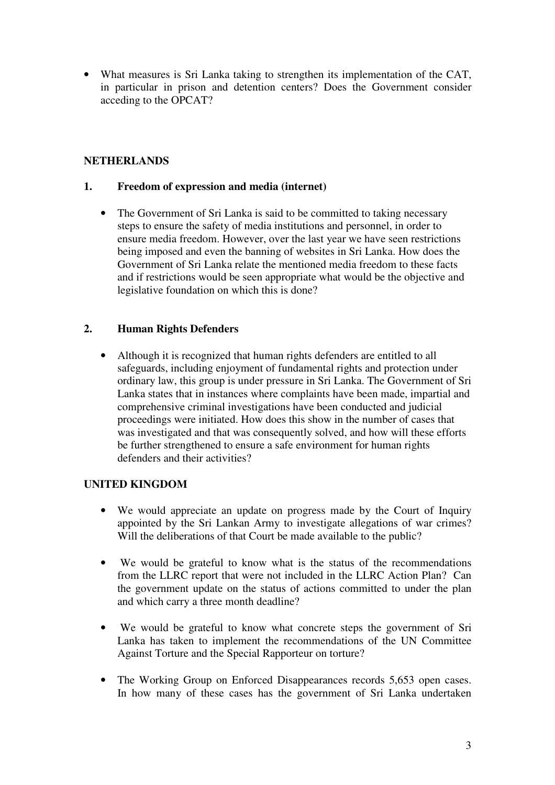• What measures is Sri Lanka taking to strengthen its implementation of the CAT, in particular in prison and detention centers? Does the Government consider acceding to the OPCAT?

## **NETHERLANDS**

#### **1. Freedom of expression and media (internet)**

• The Government of Sri Lanka is said to be committed to taking necessary steps to ensure the safety of media institutions and personnel, in order to ensure media freedom. However, over the last year we have seen restrictions being imposed and even the banning of websites in Sri Lanka. How does the Government of Sri Lanka relate the mentioned media freedom to these facts and if restrictions would be seen appropriate what would be the objective and legislative foundation on which this is done?

### **2. Human Rights Defenders**

• Although it is recognized that human rights defenders are entitled to all safeguards, including enjoyment of fundamental rights and protection under ordinary law, this group is under pressure in Sri Lanka. The Government of Sri Lanka states that in instances where complaints have been made, impartial and comprehensive criminal investigations have been conducted and judicial proceedings were initiated. How does this show in the number of cases that was investigated and that was consequently solved, and how will these efforts be further strengthened to ensure a safe environment for human rights defenders and their activities?

#### **UNITED KINGDOM**

- We would appreciate an update on progress made by the Court of Inquiry appointed by the Sri Lankan Army to investigate allegations of war crimes? Will the deliberations of that Court be made available to the public?
- We would be grateful to know what is the status of the recommendations from the LLRC report that were not included in the LLRC Action Plan? Can the government update on the status of actions committed to under the plan and which carry a three month deadline?
- We would be grateful to know what concrete steps the government of Sri Lanka has taken to implement the recommendations of the UN Committee Against Torture and the Special Rapporteur on torture?
- The Working Group on Enforced Disappearances records 5,653 open cases. In how many of these cases has the government of Sri Lanka undertaken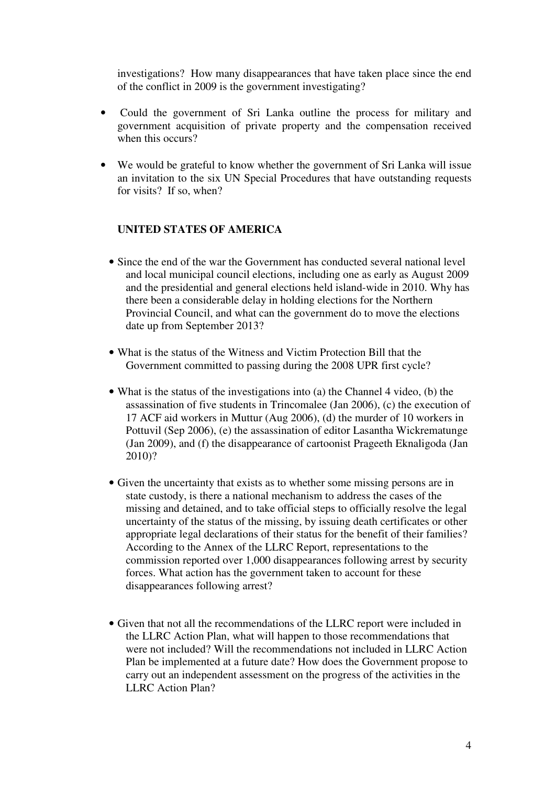investigations? How many disappearances that have taken place since the end of the conflict in 2009 is the government investigating?

- Could the government of Sri Lanka outline the process for military and government acquisition of private property and the compensation received when this occurs?
- We would be grateful to know whether the government of Sri Lanka will issue an invitation to the six UN Special Procedures that have outstanding requests for visits? If so, when?

#### **UNITED STATES OF AMERICA**

- Since the end of the war the Government has conducted several national level and local municipal council elections, including one as early as August 2009 and the presidential and general elections held island-wide in 2010. Why has there been a considerable delay in holding elections for the Northern Provincial Council, and what can the government do to move the elections date up from September 2013?
- What is the status of the Witness and Victim Protection Bill that the Government committed to passing during the 2008 UPR first cycle?
- What is the status of the investigations into (a) the Channel 4 video, (b) the assassination of five students in Trincomalee (Jan 2006), (c) the execution of 17 ACF aid workers in Muttur (Aug 2006), (d) the murder of 10 workers in Pottuvil (Sep 2006), (e) the assassination of editor Lasantha Wickrematunge (Jan 2009), and (f) the disappearance of cartoonist Prageeth Eknaligoda (Jan 2010)?
- Given the uncertainty that exists as to whether some missing persons are in state custody, is there a national mechanism to address the cases of the missing and detained, and to take official steps to officially resolve the legal uncertainty of the status of the missing, by issuing death certificates or other appropriate legal declarations of their status for the benefit of their families? According to the Annex of the LLRC Report, representations to the commission reported over 1,000 disappearances following arrest by security forces. What action has the government taken to account for these disappearances following arrest?
- Given that not all the recommendations of the LLRC report were included in the LLRC Action Plan, what will happen to those recommendations that were not included? Will the recommendations not included in LLRC Action Plan be implemented at a future date? How does the Government propose to carry out an independent assessment on the progress of the activities in the LLRC Action Plan?